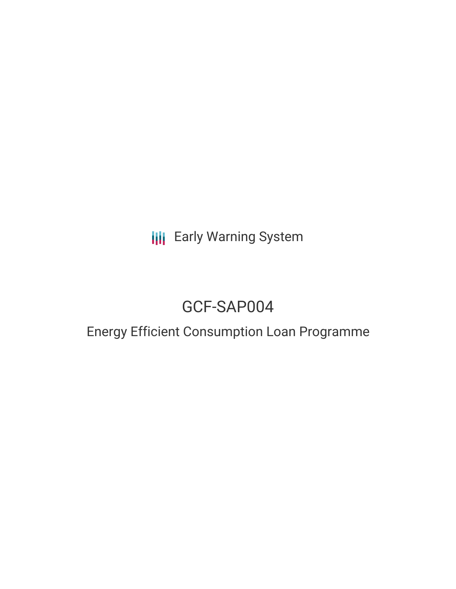**III** Early Warning System

# GCF-SAP004

# Energy Efficient Consumption Loan Programme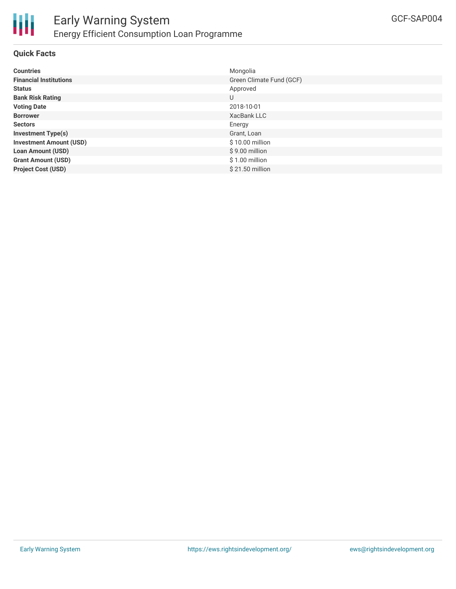

# **Quick Facts**

| <b>Countries</b>               | Mongolia                 |
|--------------------------------|--------------------------|
| <b>Financial Institutions</b>  | Green Climate Fund (GCF) |
| <b>Status</b>                  | Approved                 |
| <b>Bank Risk Rating</b>        | U                        |
| <b>Voting Date</b>             | 2018-10-01               |
| <b>Borrower</b>                | XacBank LLC              |
| <b>Sectors</b>                 | Energy                   |
| <b>Investment Type(s)</b>      | Grant, Loan              |
| <b>Investment Amount (USD)</b> | \$10.00 million          |
| <b>Loan Amount (USD)</b>       | $$9.00$ million          |
| <b>Grant Amount (USD)</b>      | $$1.00$ million          |
| <b>Project Cost (USD)</b>      | $$21.50$ million         |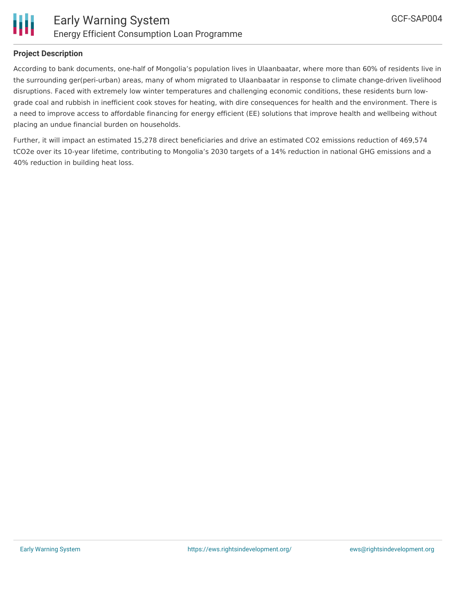

# **Project Description**

According to bank documents, one-half of Mongolia's population lives in Ulaanbaatar, where more than 60% of residents live in the surrounding ger(peri-urban) areas, many of whom migrated to Ulaanbaatar in response to climate change-driven livelihood disruptions. Faced with extremely low winter temperatures and challenging economic conditions, these residents burn lowgrade coal and rubbish in inefficient cook stoves for heating, with dire consequences for health and the environment. There is a need to improve access to affordable financing for energy efficient (EE) solutions that improve health and wellbeing without placing an undue financial burden on households.

Further, it will impact an estimated 15,278 direct beneficiaries and drive an estimated CO2 emissions reduction of 469,574 tCO2e over its 10-year lifetime, contributing to Mongolia's 2030 targets of a 14% reduction in national GHG emissions and a 40% reduction in building heat loss.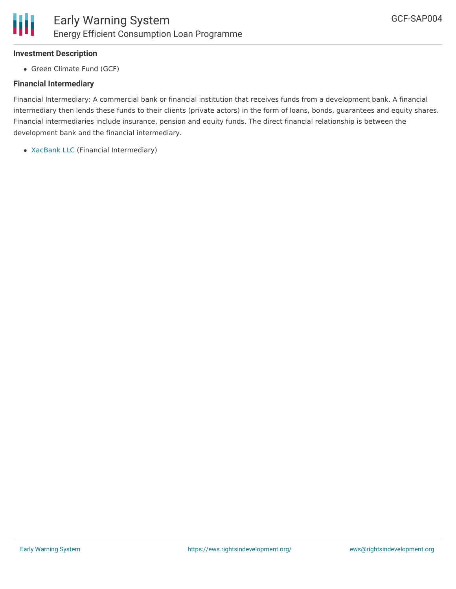### **Investment Description**

• Green Climate Fund (GCF)

# **Financial Intermediary**

Financial Intermediary: A commercial bank or financial institution that receives funds from a development bank. A financial intermediary then lends these funds to their clients (private actors) in the form of loans, bonds, guarantees and equity shares. Financial intermediaries include insurance, pension and equity funds. The direct financial relationship is between the development bank and the financial intermediary.

[XacBank](file:///actor/124/) LLC (Financial Intermediary)